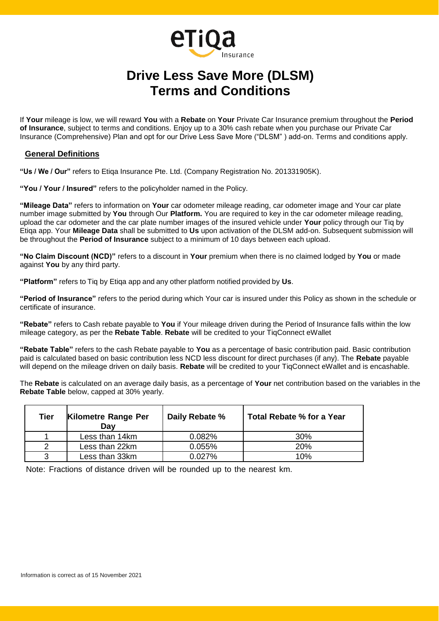# **Drive Less Save More (DLSM) Terms and Conditions**

Insurance

**eTiQ** 

If **Your** mileage is low, we will reward **You** with a **Rebate** on **Your** Private Car Insurance premium throughout the **Period of Insurance**, subject to terms and conditions. Enjoy up to a 30% cash rebate when you purchase our Private Car Insurance (Comprehensive) Plan and opt for our Drive Less Save More ("DLSM" ) add-on. Terms and conditions apply.

#### **General Definitions**

**"Us / We / Our"** refers to Etiqa Insurance Pte. Ltd. (Company Registration No. 201331905K).

**"You / Your / Insured"** refers to the policyholder named in the Policy.

**"Mileage Data"** refers to information on **Your** car odometer mileage reading, car odometer image and Your car plate number image submitted by **You** through Our **Platform.** You are required to key in the car odometer mileage reading, upload the car odometer and the car plate number images of the insured vehicle under **Your** policy through our Tiq by Etiqa app. Your **Mileage Data** shall be submitted to **Us** upon activation of the DLSM add-on. Subsequent submission will be throughout the **Period of Insurance** subject to a minimum of 10 days between each upload.

**"No Claim Discount (NCD)"** refers to a discount in **Your** premium when there is no claimed lodged by **You** or made against **You** by any third party.

**"Platform"** refers to Tiq by Etiqa app and any other platform notified provided by **Us**.

**"Period of Insurance"** refers to the period during which Your car is insured under this Policy as shown in the schedule or certificate of insurance.

**"Rebate"** refers to Cash rebate payable to **You** if Your mileage driven during the Period of Insurance falls within the low mileage category, as per the **Rebate Table**. **Rebate** will be credited to your TiqConnect eWallet

**"Rebate Table"** refers to the cash Rebate payable to **You** as a percentage of basic contribution paid. Basic contribution paid is calculated based on basic contribution less NCD less discount for direct purchases (if any). The **Rebate** payable will depend on the mileage driven on daily basis. **Rebate** will be credited to your TiqConnect eWallet and is encashable.

The **Rebate** is calculated on an average daily basis, as a percentage of **Your** net contribution based on the variables in the **Rebate Table** below, capped at 30% yearly.

| Tier | Kilometre Range Per<br>Day | Daily Rebate % | Total Rebate % for a Year |  |  |  |
|------|----------------------------|----------------|---------------------------|--|--|--|
|      | Less than 14km             | 0.082%         | 30%                       |  |  |  |
| ာ    | Less than 22km             | 0.055%         | 20%                       |  |  |  |
| າ    | Less than 33km             | $0.027\%$      | 10%                       |  |  |  |

Note: Fractions of distance driven will be rounded up to the nearest km.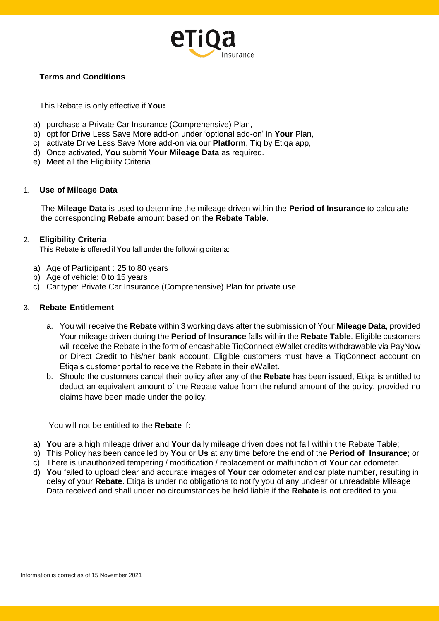

## **Terms and Conditions**

This Rebate is only effective if **You:**

- a) purchase a Private Car Insurance (Comprehensive) Plan,
- b) opt for Drive Less Save More add-on under 'optional add-on' in **Your** Plan,
- c) activate Drive Less Save More add-on via our **Platform**, Tiq by Etiqa app,
- d) Once activated, **You** submit **Your Mileage Data** as required.
- e) Meet all the Eligibility Criteria

#### 1. **Use of Mileage Data**

The **Mileage Data** is used to determine the mileage driven within the **Period of Insurance** to calculate the corresponding **Rebate** amount based on the **Rebate Table**.

## 2. **Eligibility Criteria**

This Rebate is offered if **You** fall under the following criteria:

- a) Age of Participant : 25 to 80 years
- b) Age of vehicle: 0 to 15 years
- c) Car type: Private Car Insurance (Comprehensive) Plan for private use

## 3. **Rebate Entitlement**

- a. You will receive the **Rebate** within 3 working days after the submission of Your **Mileage Data**, provided Your mileage driven during the **Period of Insurance** falls within the **Rebate Table**. Eligible customers will receive the Rebate in the form of encashable TiqConnect eWallet credits withdrawable via PayNow or Direct Credit to his/her bank account. Eligible customers must have a TiqConnect account on Etiqa's customer portal to receive the Rebate in their eWallet.
- b. Should the customers cancel their policy after any of the **Rebate** has been issued, Etiqa is entitled to deduct an equivalent amount of the Rebate value from the refund amount of the policy, provided no claims have been made under the policy.

You will not be entitled to the **Rebate** if:

- a) **You** are a high mileage driver and **Your** daily mileage driven does not fall within the Rebate Table;
- b) This Policy has been cancelled by **You** or **Us** at any time before the end of the **Period of Insurance**; or
- c) There is unauthorized tempering / modification / replacement or malfunction of **Your** car odometer.
- d) **You** failed to upload clear and accurate images of **Your** car odometer and car plate number, resulting in delay of your **Rebate**. Etiqa is under no obligations to notify you of any unclear or unreadable Mileage Data received and shall under no circumstances be held liable if the **Rebate** is not credited to you.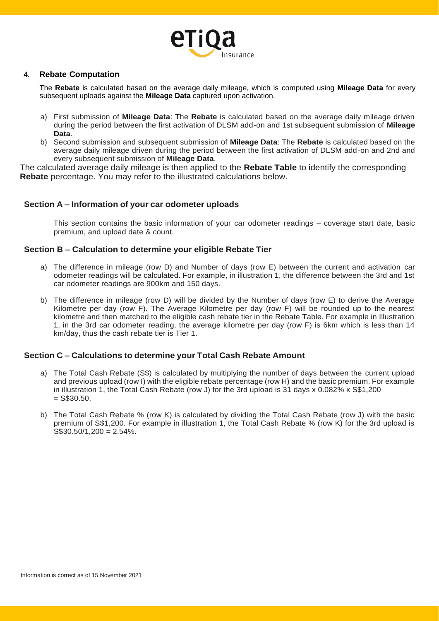

#### 4. **Rebate Computation**

The **Rebate** is calculated based on the average daily mileage, which is computed using **Mileage Data** for every subsequent uploads against the **Mileage Data** captured upon activation.

- a) First submission of **Mileage Data**: The **Rebate** is calculated based on the average daily mileage driven during the period between the first activation of DLSM add-on and 1st subsequent submission of **Mileage Data**.
- b) Second submission and subsequent submission of **Mileage Data**: The **Rebate** is calculated based on the average daily mileage driven during the period between the first activation of DLSM add-on and 2nd and every subsequent submission of **Mileage Data**.

The calculated average daily mileage is then applied to the **Rebate Table** to identify the corresponding **Rebate** percentage. You may refer to the illustrated calculations below.

#### **Section A – Information of your car odometer uploads**

This section contains the basic information of your car odometer readings – coverage start date, basic premium, and upload date & count.

#### **Section B – Calculation to determine your eligible Rebate Tier**

- a) The difference in mileage (row D) and Number of days (row E) between the current and activation car odometer readings will be calculated. For example, in illustration 1, the difference between the 3rd and 1st car odometer readings are 900km and 150 days.
- b) The difference in mileage (row D) will be divided by the Number of days (row E) to derive the Average Kilometre per day (row F). The Average Kilometre per day (row F) will be rounded up to the nearest kilometre and then matched to the eligible cash rebate tier in the Rebate Table. For example in Illustration 1, in the 3rd car odometer reading, the average kilometre per day (row F) is 6km which is less than 14 km/day, thus the cash rebate tier is Tier 1.

#### **Section C – Calculations to determine your Total Cash Rebate Amount**

- a) The Total Cash Rebate (S\$) is calculated by multiplying the number of days between the current upload and previous upload (row I) with the eligible rebate percentage (row H) and the basic premium. For example in illustration 1, the Total Cash Rebate (row J) for the 3rd upload is 31 days x 0.082% x S\$1,200  $=$  S\$30.50.
- b) The Total Cash Rebate % (row K) is calculated by dividing the Total Cash Rebate (row J) with the basic premium of S\$1,200. For example in illustration 1, the Total Cash Rebate % (row K) for the 3rd upload is  $S$30.50/1,200 = 2.54\%$ .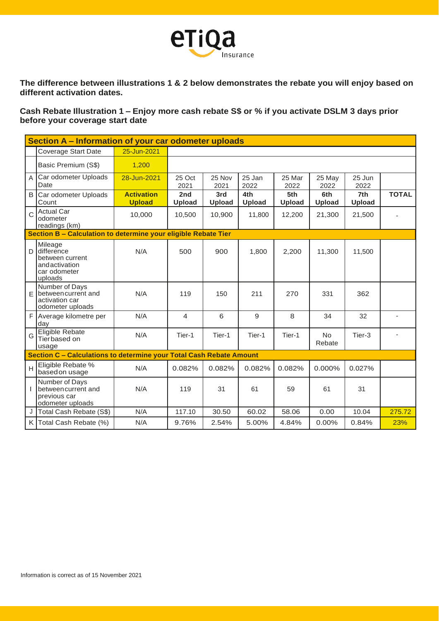

**The difference between illustrations 1 & 2 below demonstrates the rebate you will enjoy based on different activation dates.**

**Cash Rebate Illustration 1 – Enjoy more cash rebate S\$ or % if you activate DSLM 3 days prior before your coverage start date**

|                | Section A – Information of your car odometer uploads                                 |                                    |                      |                      |                      |                      |                      |                |                |
|----------------|--------------------------------------------------------------------------------------|------------------------------------|----------------------|----------------------|----------------------|----------------------|----------------------|----------------|----------------|
|                | Coverage Start Date                                                                  | 25-Jun-2021                        |                      |                      |                      |                      |                      |                |                |
|                | Basic Premium (S\$)                                                                  | 1,200                              |                      |                      |                      |                      |                      |                |                |
| A              | Car odometer Uploads<br>Date                                                         | 28-Jun-2021                        | 25 Oct<br>2021       | 25 Nov<br>2021       | 25 Jan<br>2022       | 25 Mar<br>2022       | 25 May<br>2022       | 25 Jun<br>2022 |                |
| B              | Car odometer Uploads<br>Count                                                        | <b>Activation</b><br><b>Upload</b> | 2nd<br><b>Upload</b> | 3rd<br><b>Upload</b> | 4th<br><b>Upload</b> | 5th<br><b>Upload</b> | 6th<br><b>Upload</b> | 7th<br>Upload  | <b>TOTAL</b>   |
| Ċ              | <b>Actual Car</b><br>odometer<br>readings (km)                                       | 10,000                             | 10,500               | 10,900               | 11,800               | 12,200               | 21,300               | 21,500         |                |
|                | Section B - Calculation to determine your eligible Rebate Tier                       |                                    |                      |                      |                      |                      |                      |                |                |
| D              | Mileage<br>difference<br>between current<br>andactivation<br>car odometer<br>uploads | N/A                                | 500                  | 900                  | 1,800                | 2,200                | 11,300               | 11,500         |                |
| E              | Number of Days<br>between current and<br>activation car<br>odometer uploads          | N/A                                | 119                  | 150                  | 211                  | 270                  | 331                  | 362            |                |
| F.             | Average kilometre per<br>day                                                         | N/A                                | $\overline{4}$       | 6                    | 9                    | 8                    | 34                   | 32             | $\overline{a}$ |
| G              | <b>Eligible Rebate</b><br>Tierbased on<br>usage                                      | N/A                                | Tier-1               | Tier-1               | Tier-1               | Tier-1               | <b>No</b><br>Rebate  | Tier-3         |                |
|                | Section C - Calculations to determine your Total Cash Rebate Amount                  |                                    |                      |                      |                      |                      |                      |                |                |
| $\overline{H}$ | Eligible Rebate %<br>based on usage                                                  | N/A                                | 0.082%               | 0.082%               | 0.082%               | 0.082%               | 0.000%               | 0.027%         |                |
| $\mathbf{I}$   | Number of Days<br>between current and<br>previous car<br>odometer uploads            | N/A                                | 119                  | 31                   | 61                   | 59                   | 61                   | 31             |                |
| J              | Total Cash Rebate (S\$)                                                              | N/A                                | 117.10               | 30.50                | 60.02                | 58.06                | 0.00                 | 10.04          | 275.72         |
|                | K Total Cash Rebate (%)                                                              | N/A                                | 9.76%                | 2.54%                | 5.00%                | 4.84%                | 0.00%                | 0.84%          | 23%            |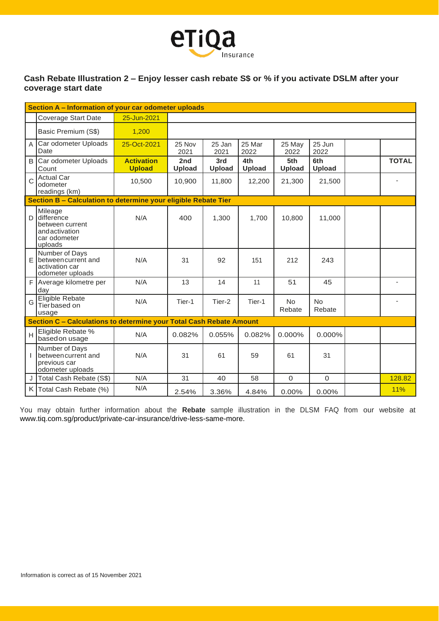

# **Cash Rebate Illustration 2 – Enjoy lesser cash rebate S\$ or % if you activate DSLM after your coverage start date**

|   | Section A - Information of your car odometer uploads                                 |                                    |                      |                |                |                     |                      |  |              |
|---|--------------------------------------------------------------------------------------|------------------------------------|----------------------|----------------|----------------|---------------------|----------------------|--|--------------|
|   | Coverage Start Date                                                                  | 25-Jun-2021                        |                      |                |                |                     |                      |  |              |
|   | Basic Premium (S\$)                                                                  | 1,200                              |                      |                |                |                     |                      |  |              |
| A | Car odometer Uploads<br>Date                                                         | 25-Oct-2021                        | 25 Nov<br>2021       | 25 Jan<br>2021 | 25 Mar<br>2022 | 25 May<br>2022      | 25 Jun<br>2022       |  |              |
| B | Car odometer Uploads<br>Count                                                        | <b>Activation</b><br><b>Upload</b> | 2nd<br><b>Upload</b> | 3rd<br>Upload  | 4th<br>Upload  | 5th<br>Upload       | 6th<br><b>Upload</b> |  | <b>TOTAL</b> |
|   | <b>Actual Car</b><br>odometer<br>readings (km)                                       | 10,500                             | 10,900               | 11,800         | 12,200         | 21,300              | 21,500               |  |              |
|   | Section B - Calculation to determine your eligible Rebate Tier                       |                                    |                      |                |                |                     |                      |  |              |
| D | Mileage<br>difference<br>between current<br>andactivation<br>car odometer<br>uploads | N/A                                | 400                  | 1,300          | 1,700          | 10,800              | 11,000               |  |              |
| F | Number of Days<br>between current and<br>activation car<br>odometer uploads          | N/A                                | 31                   | 92             | 151            | 212                 | 243                  |  |              |
| F | Average kilometre per<br>day                                                         | N/A                                | 13                   | 14             | 11             | 51                  | 45                   |  |              |
| G | Eligible Rebate<br>Tierbased on<br>usage                                             | N/A                                | Tier-1               | Tier-2         | Tier-1         | <b>No</b><br>Rebate | <b>No</b><br>Rebate  |  |              |
|   | Section C - Calculations to determine your Total Cash Rebate Amount                  |                                    |                      |                |                |                     |                      |  |              |
| H | Eligible Rebate %<br>based on usage                                                  | N/A                                | 0.082%               | 0.055%         | 0.082%         | 0.000%              | 0.000%               |  |              |
| T | Number of Days<br>between current and<br>previous car<br>odometer uploads            | N/A                                | 31                   | 61             | 59             | 61                  | 31                   |  |              |
|   | Total Cash Rebate (S\$)                                                              | N/A                                | 31                   | 40             | 58             | $\mathbf 0$         | $\mathbf 0$          |  | 128.82       |
| K | Total Cash Rebate (%)                                                                | N/A                                | 2.54%                | 3.36%          | 4.84%          | 0.00%               | 0.00%                |  | 11%          |

You may obtain further information about the **Rebate** sample illustration in the DLSM FAQ from our website at www.tiq.com.sg/product/private-car-insurance/drive-less-same-more.